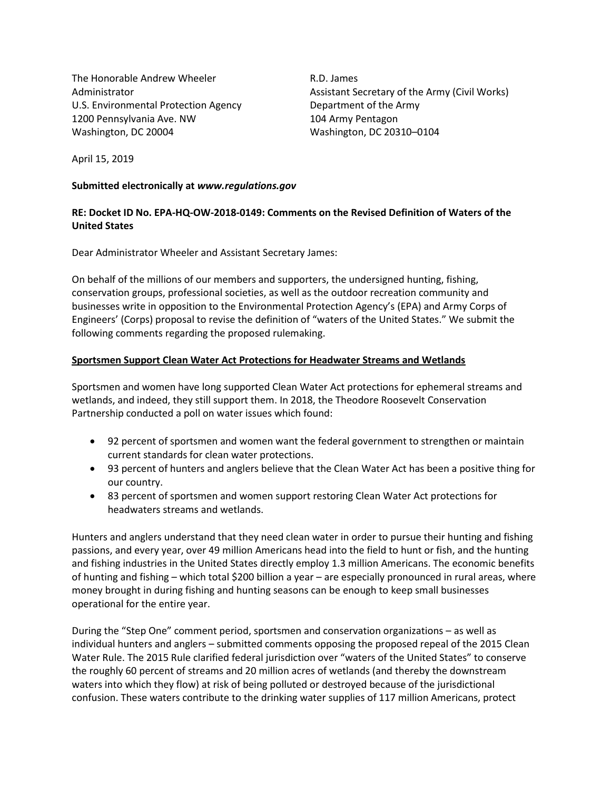The Honorable Andrew Wheeler Administrator U.S. Environmental Protection Agency 1200 Pennsylvania Ave. NW Washington, DC 20004

R.D. James Assistant Secretary of the Army (Civil Works) Department of the Army 104 Army Pentagon Washington, DC 20310–0104

April 15, 2019

### **Submitted electronically at** *www.regulations.gov*

## **RE: Docket ID No. EPA-HQ-OW-2018-0149: Comments on the Revised Definition of Waters of the United States**

Dear Administrator Wheeler and Assistant Secretary James:

On behalf of the millions of our members and supporters, the undersigned hunting, fishing, conservation groups, professional societies, as well as the outdoor recreation community and businesses write in opposition to the Environmental Protection Agency's (EPA) and Army Corps of Engineers' (Corps) proposal to revise the definition of "waters of the United States." We submit the following comments regarding the proposed rulemaking.

## **Sportsmen Support Clean Water Act Protections for Headwater Streams and Wetlands**

Sportsmen and women have long supported Clean Water Act protections for ephemeral streams and wetlands, and indeed, they still support them. In 2018, the Theodore Roosevelt Conservation Partnership conducted a poll on water issues which found:

- 92 percent of sportsmen and women want the federal government to strengthen or maintain current standards for clean water protections.
- 93 percent of hunters and anglers believe that the Clean Water Act has been a positive thing for our country.
- 83 percent of sportsmen and women support restoring Clean Water Act protections for headwaters streams and wetlands.

Hunters and anglers understand that they need clean water in order to pursue their hunting and fishing passions, and every year, over 49 million Americans head into the field to hunt or fish, and the hunting and fishing industries in the United States directly employ 1.3 million Americans. The economic benefits of hunting and fishing – which total \$200 billion a year – are especially pronounced in rural areas, where money brought in during fishing and hunting seasons can be enough to keep small businesses operational for the entire year.

During the "Step One" comment period, sportsmen and conservation organizations – as well as individual hunters and anglers – submitted comments opposing the proposed repeal of the 2015 Clean Water Rule. The 2015 Rule clarified federal jurisdiction over "waters of the United States" to conserve the roughly 60 percent of streams and 20 million acres of wetlands (and thereby the downstream waters into which they flow) at risk of being polluted or destroyed because of the jurisdictional confusion. These waters contribute to the drinking water supplies of 117 million Americans, protect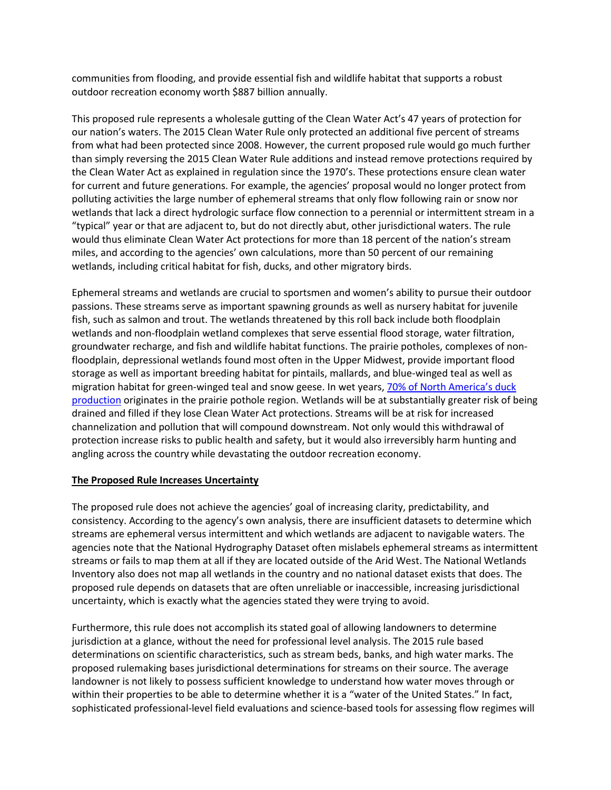communities from flooding, and provide essential fish and wildlife habitat that supports a robust outdoor recreation economy worth \$887 billion annually.

This proposed rule represents a wholesale gutting of the Clean Water Act's 47 years of protection for our nation's waters. The 2015 Clean Water Rule only protected an additional five percent of streams from what had been protected since 2008. However, the current proposed rule would go much further than simply reversing the 2015 Clean Water Rule additions and instead remove protections required by the Clean Water Act as explained in regulation since the 1970's. These protections ensure clean water for current and future generations. For example, the agencies' proposal would no longer protect from polluting activities the large number of ephemeral streams that only flow following rain or snow nor wetlands that lack a direct hydrologic surface flow connection to a perennial or intermittent stream in a "typical" year or that are adjacent to, but do not directly abut, other jurisdictional waters. The rule would thus eliminate Clean Water Act protections for more than 18 percent of the nation's stream miles, and according to the agencies' own calculations, more than 50 percent of our remaining wetlands, including critical habitat for fish, ducks, and other migratory birds.

Ephemeral streams and wetlands are crucial to sportsmen and women's ability to pursue their outdoor passions. These streams serve as important spawning grounds as well as nursery habitat for juvenile fish, such as salmon and trout. The wetlands threatened by this roll back include both floodplain wetlands and non-floodplain wetland complexes that serve essential flood storage, water filtration, groundwater recharge, and fish and wildlife habitat functions. The prairie potholes, complexes of nonfloodplain, depressional wetlands found most often in the Upper Midwest, provide important flood storage as well as important breeding habitat for pintails, mallards, and blue-winged teal as well as migration habitat for green-winged teal and snow geese. In wet years, [70% of North America's duck](file:///C:/Users/kim.jensen/AppData/Local/Microsoft/Windows/Temporary%20Internet%20Files/Content.Outlook/Y3Y144KK/:%20https:/www.ducks.org/conservation/where-ducks-unlimited-works/prairie-pothole-region/prairie-pothole-region-more-information)  [production](file:///C:/Users/kim.jensen/AppData/Local/Microsoft/Windows/Temporary%20Internet%20Files/Content.Outlook/Y3Y144KK/:%20https:/www.ducks.org/conservation/where-ducks-unlimited-works/prairie-pothole-region/prairie-pothole-region-more-information) originates in the prairie pothole region. Wetlands will be at substantially greater risk of being drained and filled if they lose Clean Water Act protections. Streams will be at risk for increased channelization and pollution that will compound downstream. Not only would this withdrawal of protection increase risks to public health and safety, but it would also irreversibly harm hunting and angling across the country while devastating the outdoor recreation economy.

## **The Proposed Rule Increases Uncertainty**

The proposed rule does not achieve the agencies' goal of increasing clarity, predictability, and consistency. According to the agency's own analysis, there are insufficient datasets to determine which streams are ephemeral versus intermittent and which wetlands are adjacent to navigable waters. The agencies note that the National Hydrography Dataset often mislabels ephemeral streams as intermittent streams or fails to map them at all if they are located outside of the Arid West. The National Wetlands Inventory also does not map all wetlands in the country and no national dataset exists that does. The proposed rule depends on datasets that are often unreliable or inaccessible, increasing jurisdictional uncertainty, which is exactly what the agencies stated they were trying to avoid.

Furthermore, this rule does not accomplish its stated goal of allowing landowners to determine jurisdiction at a glance, without the need for professional level analysis. The 2015 rule based determinations on scientific characteristics, such as stream beds, banks, and high water marks. The proposed rulemaking bases jurisdictional determinations for streams on their source. The average landowner is not likely to possess sufficient knowledge to understand how water moves through or within their properties to be able to determine whether it is a "water of the United States." In fact, sophisticated professional-level field evaluations and science-based tools for assessing flow regimes will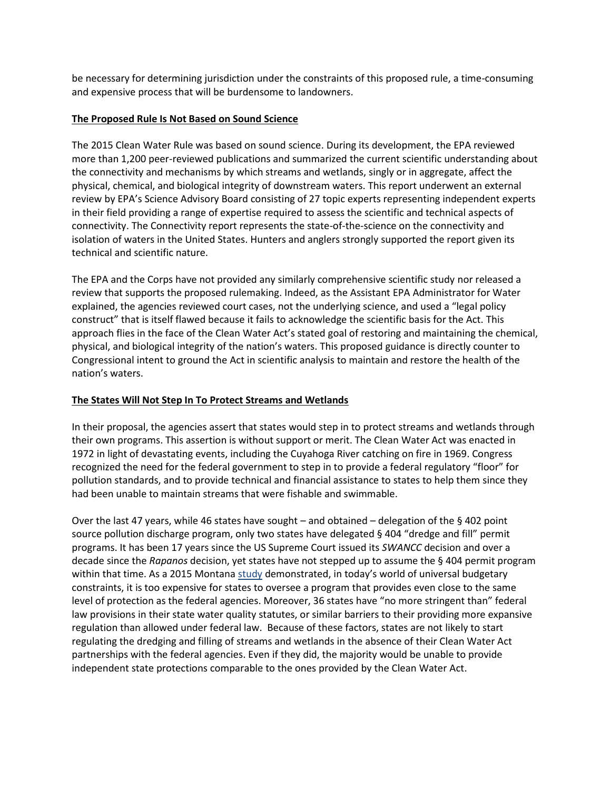be necessary for determining jurisdiction under the constraints of this proposed rule, a time-consuming and expensive process that will be burdensome to landowners.

## **The Proposed Rule Is Not Based on Sound Science**

The 2015 Clean Water Rule was based on sound science. During its development, the EPA reviewed more than 1,200 peer-reviewed publications and summarized the current scientific understanding about the connectivity and mechanisms by which streams and wetlands, singly or in aggregate, affect the physical, chemical, and biological integrity of downstream waters. This report underwent an external review by EPA's Science Advisory Board consisting of 27 topic experts representing independent experts in their field providing a range of expertise required to assess the scientific and technical aspects of connectivity. The Connectivity report represents the state-of-the-science on the connectivity and isolation of waters in the United States. Hunters and anglers strongly supported the report given its technical and scientific nature.

The EPA and the Corps have not provided any similarly comprehensive scientific study nor released a review that supports the proposed rulemaking. Indeed, as the Assistant EPA Administrator for Water explained, the agencies reviewed court cases, not the underlying science, and used a "legal policy construct" that is itself flawed because it fails to acknowledge the scientific basis for the Act. This approach flies in the face of the Clean Water Act's stated goal of restoring and maintaining the chemical, physical, and biological integrity of the nation's waters. This proposed guidance is directly counter to Congressional intent to ground the Act in scientific analysis to maintain and restore the health of the nation's waters.

# **The States Will Not Step In To Protect Streams and Wetlands**

In their proposal, the agencies assert that states would step in to protect streams and wetlands through their own programs. This assertion is without support or merit. The Clean Water Act was enacted in 1972 in light of devastating events, including the Cuyahoga River catching on fire in 1969. Congress recognized the need for the federal government to step in to provide a federal regulatory "floor" for pollution standards, and to provide technical and financial assistance to states to help them since they had been unable to maintain streams that were fishable and swimmable.

Over the last 47 years, while 46 states have sought – and obtained – delegation of the § 402 point source pollution discharge program, only two states have delegated § 404 "dredge and fill" permit programs. It has been 17 years since the US Supreme Court issued its *SWANCC* decision and over a decade since the *Rapanos* decision, yet states have not stepped up to assume the § 404 permit program within that time. As a 2015 Montan[a study](http://leg.mt.gov/content/Committees/Interim/2015-2016/Water-Policy/Meetings/2-dredge-fill.pdf) demonstrated, in today's world of universal budgetary constraints, it is too expensive for states to oversee a program that provides even close to the same level of protection as the federal agencies. Moreover, 36 states have "no more stringent than" federal law provisions in their state water quality statutes, or similar barriers to their providing more expansive regulation than allowed under federal law. Because of these factors, states are not likely to start regulating the dredging and filling of streams and wetlands in the absence of their Clean Water Act partnerships with the federal agencies. Even if they did, the majority would be unable to provide independent state protections comparable to the ones provided by the Clean Water Act.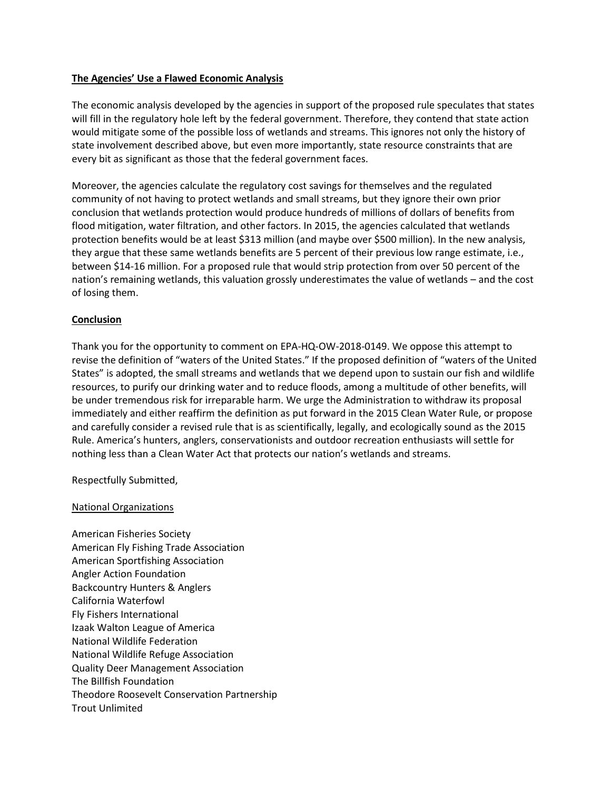## **The Agencies' Use a Flawed Economic Analysis**

The economic analysis developed by the agencies in support of the proposed rule speculates that states will fill in the regulatory hole left by the federal government. Therefore, they contend that state action would mitigate some of the possible loss of wetlands and streams. This ignores not only the history of state involvement described above, but even more importantly, state resource constraints that are every bit as significant as those that the federal government faces.

Moreover, the agencies calculate the regulatory cost savings for themselves and the regulated community of not having to protect wetlands and small streams, but they ignore their own prior conclusion that wetlands protection would produce hundreds of millions of dollars of benefits from flood mitigation, water filtration, and other factors. In 2015, the agencies calculated that wetlands protection benefits would be at least \$313 million (and maybe over \$500 million). In the new analysis, they argue that these same wetlands benefits are 5 percent of their previous low range estimate, i.e., between \$14-16 million. For a proposed rule that would strip protection from over 50 percent of the nation's remaining wetlands, this valuation grossly underestimates the value of wetlands – and the cost of losing them.

### **Conclusion**

Thank you for the opportunity to comment on EPA-HQ-OW-2018-0149. We oppose this attempt to revise the definition of "waters of the United States." If the proposed definition of "waters of the United States" is adopted, the small streams and wetlands that we depend upon to sustain our fish and wildlife resources, to purify our drinking water and to reduce floods, among a multitude of other benefits, will be under tremendous risk for irreparable harm. We urge the Administration to withdraw its proposal immediately and either reaffirm the definition as put forward in the 2015 Clean Water Rule, or propose and carefully consider a revised rule that is as scientifically, legally, and ecologically sound as the 2015 Rule. America's hunters, anglers, conservationists and outdoor recreation enthusiasts will settle for nothing less than a Clean Water Act that protects our nation's wetlands and streams.

Respectfully Submitted,

#### National Organizations

American Fisheries Society American Fly Fishing Trade Association American Sportfishing Association Angler Action Foundation Backcountry Hunters & Anglers California Waterfowl Fly Fishers International Izaak Walton League of America National Wildlife Federation National Wildlife Refuge Association Quality Deer Management Association The Billfish Foundation Theodore Roosevelt Conservation Partnership Trout Unlimited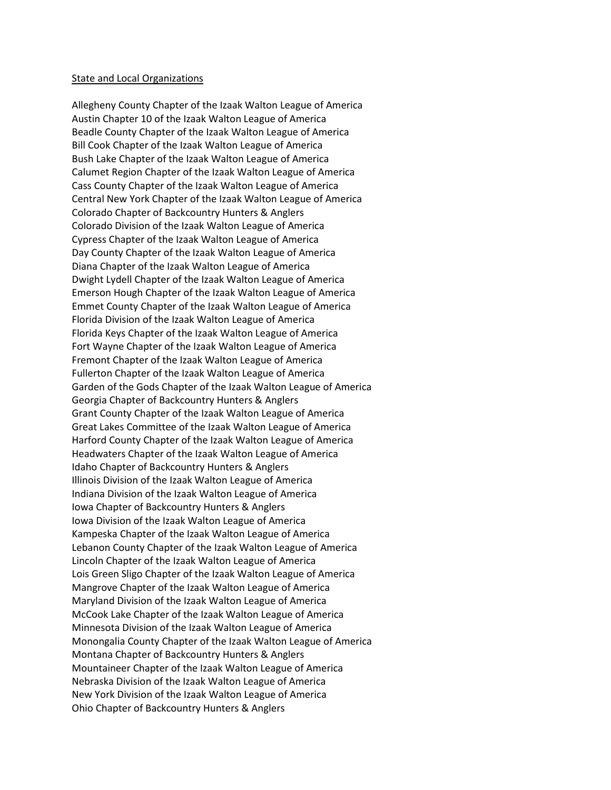#### State and Local Organizations

Allegheny County Chapter of the Izaak Walton League of America Austin Chapter 10 of the Izaak Walton League of America Beadle County Chapter of the Izaak Walton League of America Bill Cook Chapter of the Izaak Walton League of America Bush Lake Chapter of the Izaak Walton League of America Calumet Region Chapter of the Izaak Walton League of America Cass County Chapter of the Izaak Walton League of America Central New York Chapter of the Izaak Walton League of America Colorado Chapter of Backcountry Hunters & Anglers Colorado Division of the Izaak Walton League of America Cypress Chapter of the Izaak Walton League of America Day County Chapter of the Izaak Walton League of America Diana Chapter of the Izaak Walton League of America Dwight Lydell Chapter of the Izaak Walton League of America Emerson Hough Chapter of the Izaak Walton League of America Emmet County Chapter of the Izaak Walton League of America Florida Division of the Izaak Walton League of America Florida Keys Chapter of the Izaak Walton League of America Fort Wayne Chapter of the Izaak Walton League of America Fremont Chapter of the Izaak Walton League of America Fullerton Chapter of the Izaak Walton League of America Garden of the Gods Chapter of the Izaak Walton League of America Georgia Chapter of Backcountry Hunters & Anglers Grant County Chapter of the Izaak Walton League of America Great Lakes Committee of the Izaak Walton League of America Harford County Chapter of the Izaak Walton League of America Headwaters Chapter of the Izaak Walton League of America Idaho Chapter of Backcountry Hunters & Anglers Illinois Division of the Izaak Walton League of America Indiana Division of the Izaak Walton League of America Iowa Chapter of Backcountry Hunters & Anglers Iowa Division of the Izaak Walton League of America Kampeska Chapter of the Izaak Walton League of America Lebanon County Chapter of the Izaak Walton League of America Lincoln Chapter of the Izaak Walton League of America Lois Green Sligo Chapter of the Izaak Walton League of America Mangrove Chapter of the Izaak Walton League of America Maryland Division of the Izaak Walton League of America McCook Lake Chapter of the Izaak Walton League of America Minnesota Division of the Izaak Walton League of America Monongalia County Chapter of the Izaak Walton League of America Montana Chapter of Backcountry Hunters & Anglers Mountaineer Chapter of the Izaak Walton League of America Nebraska Division of the Izaak Walton League of America New York Division of the Izaak Walton League of America Ohio Chapter of Backcountry Hunters & Anglers